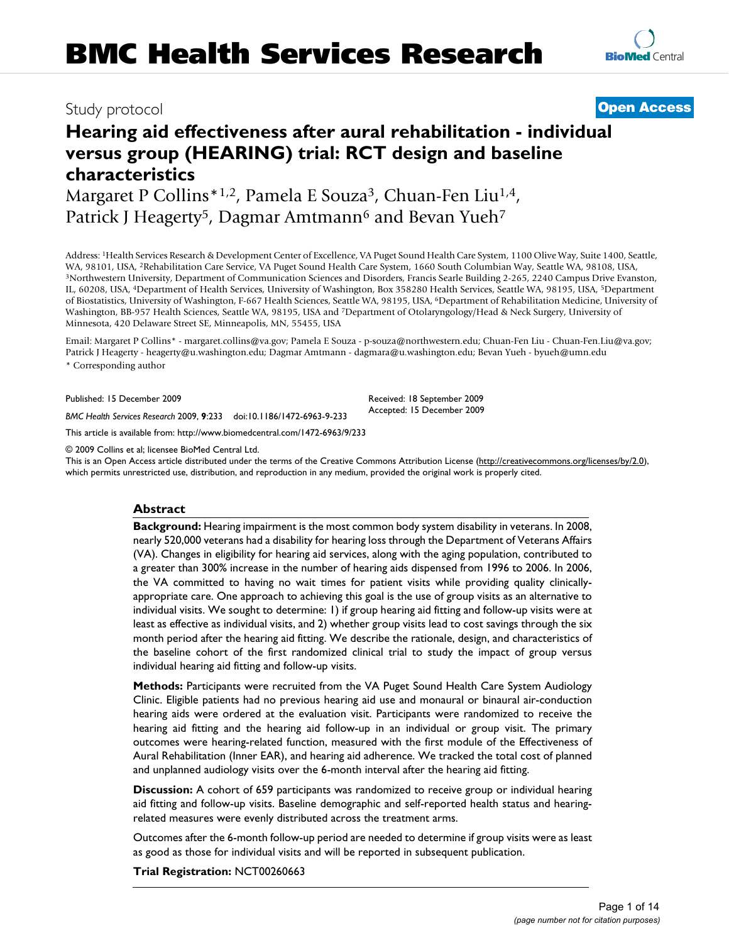# Study protocol **[Open Access](http://www.biomedcentral.com/info/about/charter/)**

# **Hearing aid effectiveness after aural rehabilitation - individual versus group (HEARING) trial: RCT design and baseline characteristics**

Margaret P Collins<sup>\*1,2</sup>, Pamela E Souza<sup>3</sup>, Chuan-Fen Liu<sup>1,4</sup>, Patrick J Heagerty<sup>5</sup>, Dagmar Amtmann<sup>6</sup> and Bevan Yueh<sup>7</sup>

Address: 1Health Services Research & Development Center of Excellence, VA Puget Sound Health Care System, 1100 Olive Way, Suite 1400, Seattle, WA, 98101, USA, <sup>2</sup>Rehabilitation Care Service, VA Puget Sound Health Care System, 1660 South Columbian Way, Seattle WA, 98108, USA, <sup>3</sup>Northwestern University, Department of Communication Sciences and Disorders, Francis S IL, 60208, USA, 4Department of Health Services, University of Washington, Box 358280 Health Services, Seattle WA, 98195, USA, 5Department of Biostatistics, University of Washington, F-667 Health Sciences, Seattle WA, 98195, USA, 6Department of Rehabilitation Medicine, University of Washington, BB-957 Health Sciences, Seattle WA, 98195, USA and 7Department of Otolaryngology/Head & Neck Surgery, University of Minnesota, 420 Delaware Street SE, Minneapolis, MN, 55455, USA

Email: Margaret P Collins\* - margaret.collins@va.gov; Pamela E Souza - p-souza@northwestern.edu; Chuan-Fen Liu - Chuan-Fen.Liu@va.gov; Patrick J Heagerty - heagerty@u.washington.edu; Dagmar Amtmann - dagmara@u.washington.edu; Bevan Yueh - byueh@umn.edu \* Corresponding author

> Received: 18 September 2009 Accepted: 15 December 2009

Published: 15 December 2009

*BMC Health Services Research* 2009, **9**:233 doi:10.1186/1472-6963-9-233

[This article is available from: http://www.biomedcentral.com/1472-6963/9/233](http://www.biomedcentral.com/1472-6963/9/233)

© 2009 Collins et al; licensee BioMed Central Ltd.

This is an Open Access article distributed under the terms of the Creative Commons Attribution License [\(http://creativecommons.org/licenses/by/2.0\)](http://creativecommons.org/licenses/by/2.0), which permits unrestricted use, distribution, and reproduction in any medium, provided the original work is properly cited.

# **Abstract**

**Background:** Hearing impairment is the most common body system disability in veterans. In 2008, nearly 520,000 veterans had a disability for hearing loss through the Department of Veterans Affairs (VA). Changes in eligibility for hearing aid services, along with the aging population, contributed to a greater than 300% increase in the number of hearing aids dispensed from 1996 to 2006. In 2006, the VA committed to having no wait times for patient visits while providing quality clinicallyappropriate care. One approach to achieving this goal is the use of group visits as an alternative to individual visits. We sought to determine: 1) if group hearing aid fitting and follow-up visits were at least as effective as individual visits, and 2) whether group visits lead to cost savings through the six month period after the hearing aid fitting. We describe the rationale, design, and characteristics of the baseline cohort of the first randomized clinical trial to study the impact of group versus individual hearing aid fitting and follow-up visits.

**Methods:** Participants were recruited from the VA Puget Sound Health Care System Audiology Clinic. Eligible patients had no previous hearing aid use and monaural or binaural air-conduction hearing aids were ordered at the evaluation visit. Participants were randomized to receive the hearing aid fitting and the hearing aid follow-up in an individual or group visit. The primary outcomes were hearing-related function, measured with the first module of the Effectiveness of Aural Rehabilitation (Inner EAR), and hearing aid adherence. We tracked the total cost of planned and unplanned audiology visits over the 6-month interval after the hearing aid fitting.

**Discussion:** A cohort of 659 participants was randomized to receive group or individual hearing aid fitting and follow-up visits. Baseline demographic and self-reported health status and hearingrelated measures were evenly distributed across the treatment arms.

Outcomes after the 6-month follow-up period are needed to determine if group visits were as least as good as those for individual visits and will be reported in subsequent publication.

**Trial Registration:** NCT00260663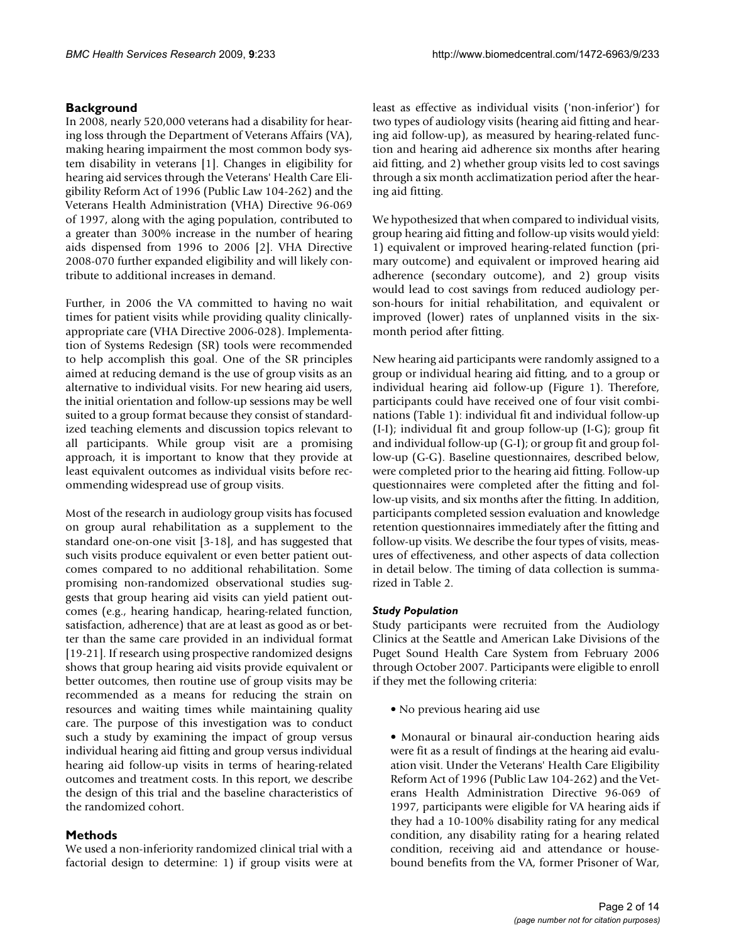# **Background**

In 2008, nearly 520,000 veterans had a disability for hearing loss through the Department of Veterans Affairs (VA), making hearing impairment the most common body system disability in veterans [1]. Changes in eligibility for hearing aid services through the Veterans' Health Care Eligibility Reform Act of 1996 (Public Law 104-262) and the Veterans Health Administration (VHA) Directive 96-069 of 1997, along with the aging population, contributed to a greater than 300% increase in the number of hearing aids dispensed from 1996 to 2006 [2]. VHA Directive 2008-070 further expanded eligibility and will likely contribute to additional increases in demand.

Further, in 2006 the VA committed to having no wait times for patient visits while providing quality clinicallyappropriate care (VHA Directive 2006-028). Implementation of Systems Redesign (SR) tools were recommended to help accomplish this goal. One of the SR principles aimed at reducing demand is the use of group visits as an alternative to individual visits. For new hearing aid users, the initial orientation and follow-up sessions may be well suited to a group format because they consist of standardized teaching elements and discussion topics relevant to all participants. While group visit are a promising approach, it is important to know that they provide at least equivalent outcomes as individual visits before recommending widespread use of group visits.

Most of the research in audiology group visits has focused on group aural rehabilitation as a supplement to the standard one-on-one visit [3-18], and has suggested that such visits produce equivalent or even better patient outcomes compared to no additional rehabilitation. Some promising non-randomized observational studies suggests that group hearing aid visits can yield patient outcomes (e.g., hearing handicap, hearing-related function, satisfaction, adherence) that are at least as good as or better than the same care provided in an individual format [19-21]. If research using prospective randomized designs shows that group hearing aid visits provide equivalent or better outcomes, then routine use of group visits may be recommended as a means for reducing the strain on resources and waiting times while maintaining quality care. The purpose of this investigation was to conduct such a study by examining the impact of group versus individual hearing aid fitting and group versus individual hearing aid follow-up visits in terms of hearing-related outcomes and treatment costs. In this report, we describe the design of this trial and the baseline characteristics of the randomized cohort.

# **Methods**

We used a non-inferiority randomized clinical trial with a factorial design to determine: 1) if group visits were at least as effective as individual visits ('non-inferior') for two types of audiology visits (hearing aid fitting and hearing aid follow-up), as measured by hearing-related function and hearing aid adherence six months after hearing aid fitting, and 2) whether group visits led to cost savings through a six month acclimatization period after the hearing aid fitting.

We hypothesized that when compared to individual visits, group hearing aid fitting and follow-up visits would yield: 1) equivalent or improved hearing-related function (primary outcome) and equivalent or improved hearing aid adherence (secondary outcome), and 2) group visits would lead to cost savings from reduced audiology person-hours for initial rehabilitation, and equivalent or improved (lower) rates of unplanned visits in the sixmonth period after fitting.

New hearing aid participants were randomly assigned to a group or individual hearing aid fitting, and to a group or individual hearing aid follow-up (Figure 1). Therefore, participants could have received one of four visit combinations (Table 1): individual fit and individual follow-up (I-I); individual fit and group follow-up (I-G); group fit and individual follow-up (G-I); or group fit and group follow-up (G-G). Baseline questionnaires, described below, were completed prior to the hearing aid fitting. Follow-up questionnaires were completed after the fitting and follow-up visits, and six months after the fitting. In addition, participants completed session evaluation and knowledge retention questionnaires immediately after the fitting and follow-up visits. We describe the four types of visits, measures of effectiveness, and other aspects of data collection in detail below. The timing of data collection is summarized in Table 2.

# *Study Population*

Study participants were recruited from the Audiology Clinics at the Seattle and American Lake Divisions of the Puget Sound Health Care System from February 2006 through October 2007. Participants were eligible to enroll if they met the following criteria:

• No previous hearing aid use

• Monaural or binaural air-conduction hearing aids were fit as a result of findings at the hearing aid evaluation visit. Under the Veterans' Health Care Eligibility Reform Act of 1996 (Public Law 104-262) and the Veterans Health Administration Directive 96-069 of 1997, participants were eligible for VA hearing aids if they had a 10-100% disability rating for any medical condition, any disability rating for a hearing related condition, receiving aid and attendance or housebound benefits from the VA, former Prisoner of War,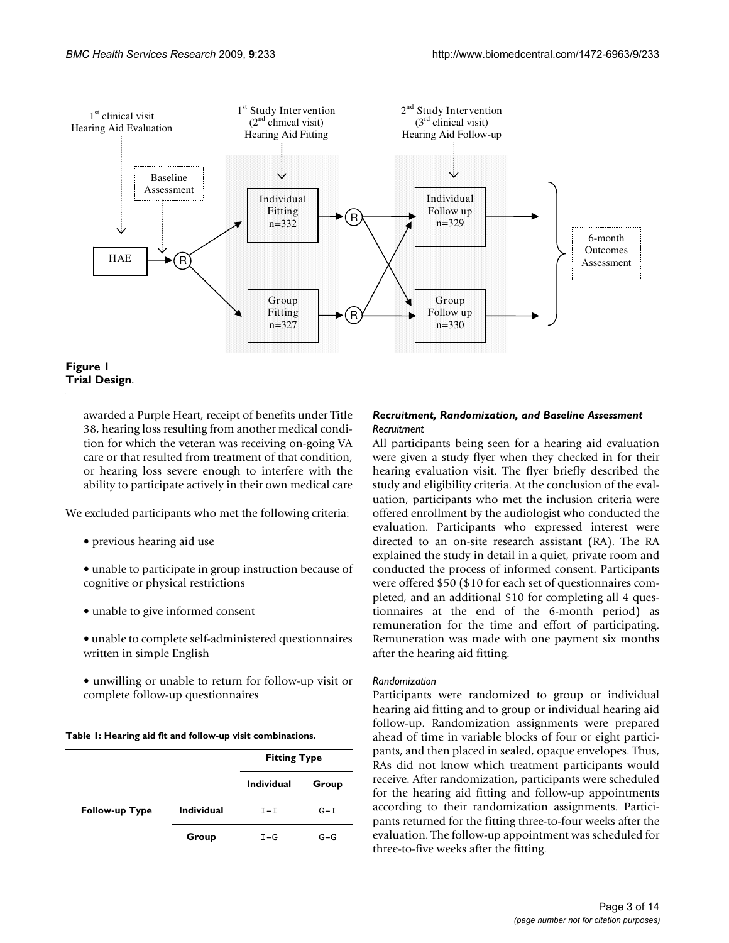

awarded a Purple Heart, receipt of benefits under Title 38, hearing loss resulting from another medical condition for which the veteran was receiving on-going VA care or that resulted from treatment of that condition, or hearing loss severe enough to interfere with the ability to participate actively in their own medical care

We excluded participants who met the following criteria:

- previous hearing aid use
- unable to participate in group instruction because of cognitive or physical restrictions
- unable to give informed consent
- unable to complete self-administered questionnaires written in simple English
- unwilling or unable to return for follow-up visit or complete follow-up questionnaires

| Table 1: Hearing aid fit and follow-up visit combinations. |  |
|------------------------------------------------------------|--|
|------------------------------------------------------------|--|

|                       |                   | <b>Fitting Type</b> |       |  |
|-----------------------|-------------------|---------------------|-------|--|
|                       |                   | <b>Individual</b>   | Group |  |
| <b>Follow-up Type</b> | <b>Individual</b> | $I-I$               | $G-I$ |  |
|                       | Group             | $I-G$               | $G-G$ |  |

## *Recruitment, Randomization, and Baseline Assessment Recruitment*

All participants being seen for a hearing aid evaluation were given a study flyer when they checked in for their hearing evaluation visit. The flyer briefly described the study and eligibility criteria. At the conclusion of the evaluation, participants who met the inclusion criteria were offered enrollment by the audiologist who conducted the evaluation. Participants who expressed interest were directed to an on-site research assistant (RA). The RA explained the study in detail in a quiet, private room and conducted the process of informed consent. Participants were offered \$50 (\$10 for each set of questionnaires completed, and an additional \$10 for completing all 4 questionnaires at the end of the 6-month period) as remuneration for the time and effort of participating. Remuneration was made with one payment six months after the hearing aid fitting.

#### *Randomization*

Participants were randomized to group or individual hearing aid fitting and to group or individual hearing aid follow-up. Randomization assignments were prepared ahead of time in variable blocks of four or eight participants, and then placed in sealed, opaque envelopes. Thus, RAs did not know which treatment participants would receive. After randomization, participants were scheduled for the hearing aid fitting and follow-up appointments according to their randomization assignments. Participants returned for the fitting three-to-four weeks after the evaluation. The follow-up appointment was scheduled for three-to-five weeks after the fitting.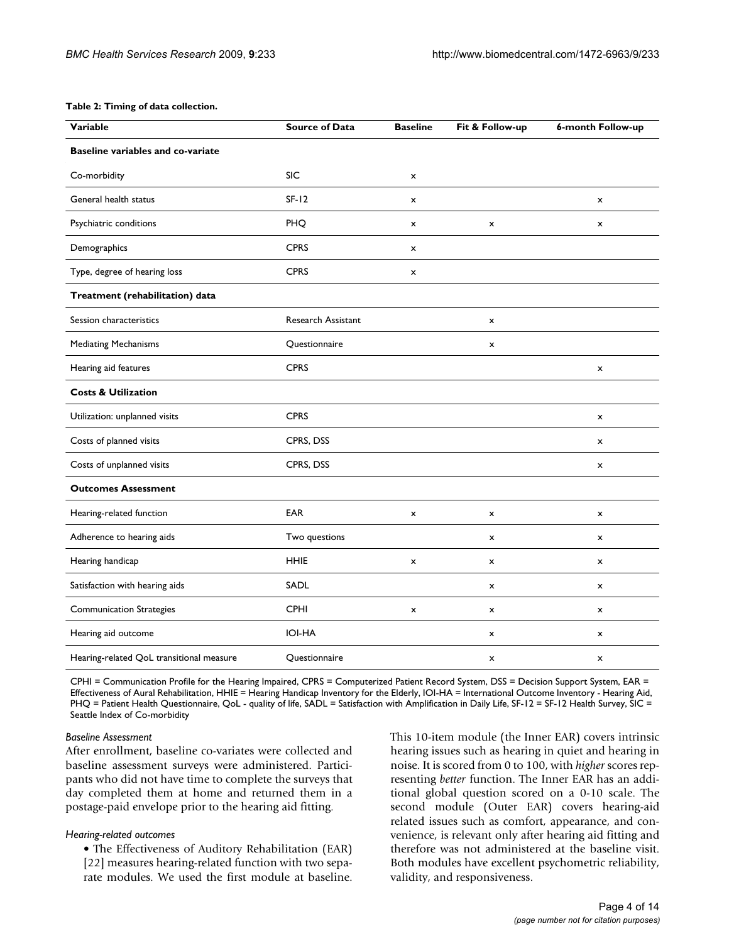#### **Table 2: Timing of data collection.**

| Variable                                 | <b>Source of Data</b> | <b>Baseline</b> | Fit & Follow-up           | 6-month Follow-up |
|------------------------------------------|-----------------------|-----------------|---------------------------|-------------------|
| <b>Baseline variables and co-variate</b> |                       |                 |                           |                   |
| Co-morbidity                             | SIC                   | $\pmb{\times}$  |                           |                   |
| General health status                    | $SF-12$               | $\pmb{\times}$  |                           | x                 |
| Psychiatric conditions                   | PHQ                   | x               | x                         | x                 |
| Demographics                             | <b>CPRS</b>           | x               |                           |                   |
| Type, degree of hearing loss             | <b>CPRS</b>           | $\pmb{\times}$  |                           |                   |
| Treatment (rehabilitation) data          |                       |                 |                           |                   |
| Session characteristics                  | Research Assistant    |                 | $\boldsymbol{\mathsf{x}}$ |                   |
| <b>Mediating Mechanisms</b>              | Questionnaire         |                 | $\pmb{\mathsf{x}}$        |                   |
| Hearing aid features                     | <b>CPRS</b>           |                 |                           | x                 |
| <b>Costs &amp; Utilization</b>           |                       |                 |                           |                   |
| Utilization: unplanned visits            | <b>CPRS</b>           |                 |                           | x                 |
| Costs of planned visits                  | CPRS, DSS             |                 |                           | x                 |
| Costs of unplanned visits                | CPRS, DSS             |                 |                           | x                 |
| <b>Outcomes Assessment</b>               |                       |                 |                           |                   |
| Hearing-related function                 | <b>EAR</b>            | $\pmb{\times}$  | x                         | x                 |
| Adherence to hearing aids                | Two questions         |                 | $\pmb{\times}$            | x                 |
| Hearing handicap                         | <b>HHIE</b>           | $\pmb{\times}$  | $\pmb{\times}$            | x                 |
| Satisfaction with hearing aids           | SADL                  |                 | $\boldsymbol{\mathsf{x}}$ | x                 |
| <b>Communication Strategies</b>          | <b>CPHI</b>           | $\pmb{\times}$  | $\pmb{\times}$            | x                 |
| Hearing aid outcome                      | <b>IOI-HA</b>         |                 | x                         | x                 |
| Hearing-related QoL transitional measure | Questionnaire         |                 | x                         | x                 |

CPHI = Communication Profile for the Hearing Impaired, CPRS = Computerized Patient Record System, DSS = Decision Support System, EAR = Effectiveness of Aural Rehabilitation, HHIE = Hearing Handicap Inventory for the Elderly, IOI-HA = International Outcome Inventory - Hearing Aid, PHQ = Patient Health Questionnaire, QoL - quality of life, SADL = Satisfaction with Amplification in Daily Life, SF-12 = SF-12 Health Survey, SIC = Seattle Index of Co-morbidity

#### *Baseline Assessment*

After enrollment, baseline co-variates were collected and baseline assessment surveys were administered. Participants who did not have time to complete the surveys that day completed them at home and returned them in a postage-paid envelope prior to the hearing aid fitting.

#### *Hearing-related outcomes*

• The Effectiveness of Auditory Rehabilitation (EAR) [22] measures hearing-related function with two separate modules. We used the first module at baseline.

This 10-item module (the Inner EAR) covers intrinsic hearing issues such as hearing in quiet and hearing in noise. It is scored from 0 to 100, with *higher* scores representing *better* function. The Inner EAR has an additional global question scored on a 0-10 scale. The second module (Outer EAR) covers hearing-aid related issues such as comfort, appearance, and convenience, is relevant only after hearing aid fitting and therefore was not administered at the baseline visit. Both modules have excellent psychometric reliability, validity, and responsiveness.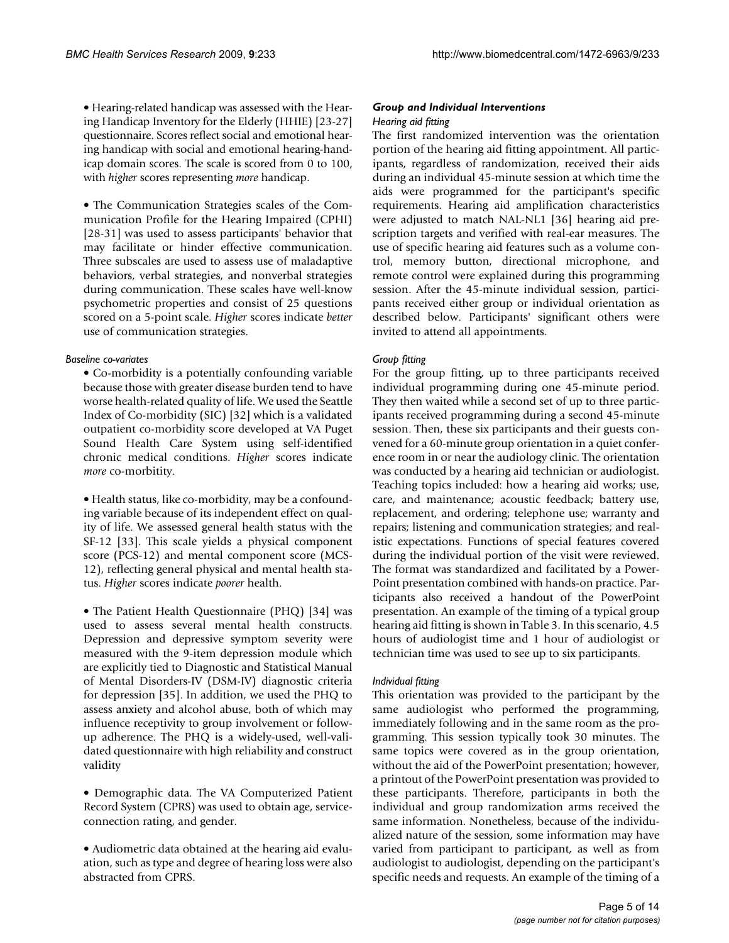• Hearing-related handicap was assessed with the Hearing Handicap Inventory for the Elderly (HHIE) [23-27] questionnaire. Scores reflect social and emotional hearing handicap with social and emotional hearing-handicap domain scores. The scale is scored from 0 to 100, with *higher* scores representing *more* handicap.

• The Communication Strategies scales of the Communication Profile for the Hearing Impaired (CPHI) [28-31] was used to assess participants' behavior that may facilitate or hinder effective communication. Three subscales are used to assess use of maladaptive behaviors, verbal strategies, and nonverbal strategies during communication. These scales have well-know psychometric properties and consist of 25 questions scored on a 5-point scale. *Higher* scores indicate *better* use of communication strategies.

## *Baseline co-variates*

• Co-morbidity is a potentially confounding variable because those with greater disease burden tend to have worse health-related quality of life. We used the Seattle Index of Co-morbidity (SIC) [32] which is a validated outpatient co-morbidity score developed at VA Puget Sound Health Care System using self-identified chronic medical conditions. *Higher* scores indicate *more* co-morbitity.

• Health status, like co-morbidity, may be a confounding variable because of its independent effect on quality of life. We assessed general health status with the SF-12 [33]. This scale yields a physical component score (PCS-12) and mental component score (MCS-12), reflecting general physical and mental health status. *Higher* scores indicate *poorer* health.

• The Patient Health Questionnaire (PHQ) [34] was used to assess several mental health constructs. Depression and depressive symptom severity were measured with the 9-item depression module which are explicitly tied to Diagnostic and Statistical Manual of Mental Disorders-IV (DSM-IV) diagnostic criteria for depression [35]. In addition, we used the PHQ to assess anxiety and alcohol abuse, both of which may influence receptivity to group involvement or followup adherence. The PHQ is a widely-used, well-validated questionnaire with high reliability and construct validity

• Demographic data. The VA Computerized Patient Record System (CPRS) was used to obtain age, serviceconnection rating, and gender.

• Audiometric data obtained at the hearing aid evaluation, such as type and degree of hearing loss were also abstracted from CPRS.

# *Group and Individual Interventions*

#### *Hearing aid fitting*

The first randomized intervention was the orientation portion of the hearing aid fitting appointment. All participants, regardless of randomization, received their aids during an individual 45-minute session at which time the aids were programmed for the participant's specific requirements. Hearing aid amplification characteristics were adjusted to match NAL-NL1 [36] hearing aid prescription targets and verified with real-ear measures. The use of specific hearing aid features such as a volume control, memory button, directional microphone, and remote control were explained during this programming session. After the 45-minute individual session, participants received either group or individual orientation as described below. Participants' significant others were invited to attend all appointments.

# *Group fitting*

For the group fitting, up to three participants received individual programming during one 45-minute period. They then waited while a second set of up to three participants received programming during a second 45-minute session. Then, these six participants and their guests convened for a 60-minute group orientation in a quiet conference room in or near the audiology clinic. The orientation was conducted by a hearing aid technician or audiologist. Teaching topics included: how a hearing aid works; use, care, and maintenance; acoustic feedback; battery use, replacement, and ordering; telephone use; warranty and repairs; listening and communication strategies; and realistic expectations. Functions of special features covered during the individual portion of the visit were reviewed. The format was standardized and facilitated by a Power-Point presentation combined with hands-on practice. Participants also received a handout of the PowerPoint presentation. An example of the timing of a typical group hearing aid fitting is shown in Table 3. In this scenario, 4.5 hours of audiologist time and 1 hour of audiologist or technician time was used to see up to six participants.

# *Individual fitting*

This orientation was provided to the participant by the same audiologist who performed the programming, immediately following and in the same room as the programming. This session typically took 30 minutes. The same topics were covered as in the group orientation, without the aid of the PowerPoint presentation; however, a printout of the PowerPoint presentation was provided to these participants. Therefore, participants in both the individual and group randomization arms received the same information. Nonetheless, because of the individualized nature of the session, some information may have varied from participant to participant, as well as from audiologist to audiologist, depending on the participant's specific needs and requests. An example of the timing of a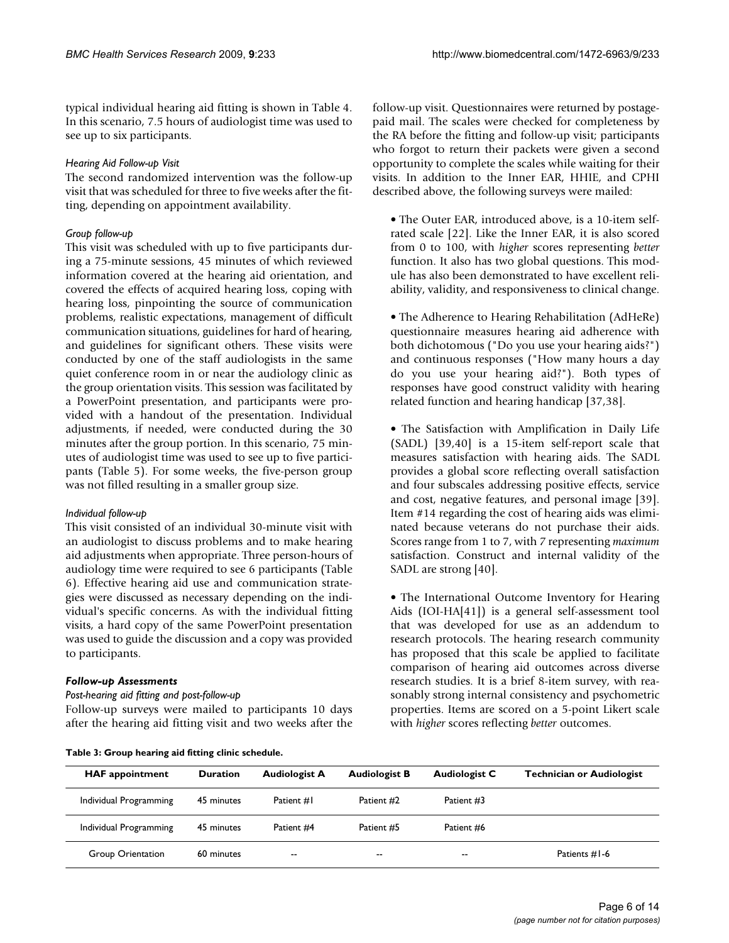typical individual hearing aid fitting is shown in Table 4. In this scenario, 7.5 hours of audiologist time was used to see up to six participants.

## *Hearing Aid Follow-up Visit*

The second randomized intervention was the follow-up visit that was scheduled for three to five weeks after the fitting, depending on appointment availability.

# *Group follow-up*

This visit was scheduled with up to five participants during a 75-minute sessions, 45 minutes of which reviewed information covered at the hearing aid orientation, and covered the effects of acquired hearing loss, coping with hearing loss, pinpointing the source of communication problems, realistic expectations, management of difficult communication situations, guidelines for hard of hearing, and guidelines for significant others. These visits were conducted by one of the staff audiologists in the same quiet conference room in or near the audiology clinic as the group orientation visits. This session was facilitated by a PowerPoint presentation, and participants were provided with a handout of the presentation. Individual adjustments, if needed, were conducted during the 30 minutes after the group portion. In this scenario, 75 minutes of audiologist time was used to see up to five participants (Table 5). For some weeks, the five-person group was not filled resulting in a smaller group size.

# *Individual follow-up*

This visit consisted of an individual 30-minute visit with an audiologist to discuss problems and to make hearing aid adjustments when appropriate. Three person-hours of audiology time were required to see 6 participants (Table 6). Effective hearing aid use and communication strategies were discussed as necessary depending on the individual's specific concerns. As with the individual fitting visits, a hard copy of the same PowerPoint presentation was used to guide the discussion and a copy was provided to participants.

# *Follow-up Assessments*

#### *Post-hearing aid fitting and post-follow-up*

Follow-up surveys were mailed to participants 10 days after the hearing aid fitting visit and two weeks after the follow-up visit. Questionnaires were returned by postagepaid mail. The scales were checked for completeness by the RA before the fitting and follow-up visit; participants who forgot to return their packets were given a second opportunity to complete the scales while waiting for their visits. In addition to the Inner EAR, HHIE, and CPHI described above, the following surveys were mailed:

• The Outer EAR, introduced above, is a 10-item selfrated scale [22]. Like the Inner EAR, it is also scored from 0 to 100, with *higher* scores representing *better* function. It also has two global questions. This module has also been demonstrated to have excellent reliability, validity, and responsiveness to clinical change.

• The Adherence to Hearing Rehabilitation (AdHeRe) questionnaire measures hearing aid adherence with both dichotomous ("Do you use your hearing aids?") and continuous responses ("How many hours a day do you use your hearing aid?"). Both types of responses have good construct validity with hearing related function and hearing handicap [37,38].

• The Satisfaction with Amplification in Daily Life (SADL) [39,40] is a 15-item self-report scale that measures satisfaction with hearing aids. The SADL provides a global score reflecting overall satisfaction and four subscales addressing positive effects, service and cost, negative features, and personal image [39]. Item #14 regarding the cost of hearing aids was eliminated because veterans do not purchase their aids. Scores range from 1 to 7, with *7* representing *maximum* satisfaction. Construct and internal validity of the SADL are strong [40].

• The International Outcome Inventory for Hearing Aids (IOI-HA[41]) is a general self-assessment tool that was developed for use as an addendum to research protocols. The hearing research community has proposed that this scale be applied to facilitate comparison of hearing aid outcomes across diverse research studies. It is a brief 8-item survey, with reasonably strong internal consistency and psychometric properties. Items are scored on a 5-point Likert scale with *higher* scores reflecting *better* outcomes.

| Table 3: Group hearing aid fitting clinic schedule. |  |  |  |  |  |  |  |  |
|-----------------------------------------------------|--|--|--|--|--|--|--|--|
|-----------------------------------------------------|--|--|--|--|--|--|--|--|

| <b>HAF</b> appointment | <b>Duration</b> | <b>Audiologist A</b>   | <b>Audiologist B</b> | <b>Audiologist C</b> | <b>Technician or Audiologist</b> |
|------------------------|-----------------|------------------------|----------------------|----------------------|----------------------------------|
| Individual Programming | 45 minutes      | Patient #1             | Patient #2           | Patient #3           |                                  |
| Individual Programming | 45 minutes      | Patient #4             | Patient #5           | Patient #6           |                                  |
| Group Orientation      | 60 minutes      | $\qquad \qquad \cdots$ | $- -$                | $- -$                | Patients #1-6                    |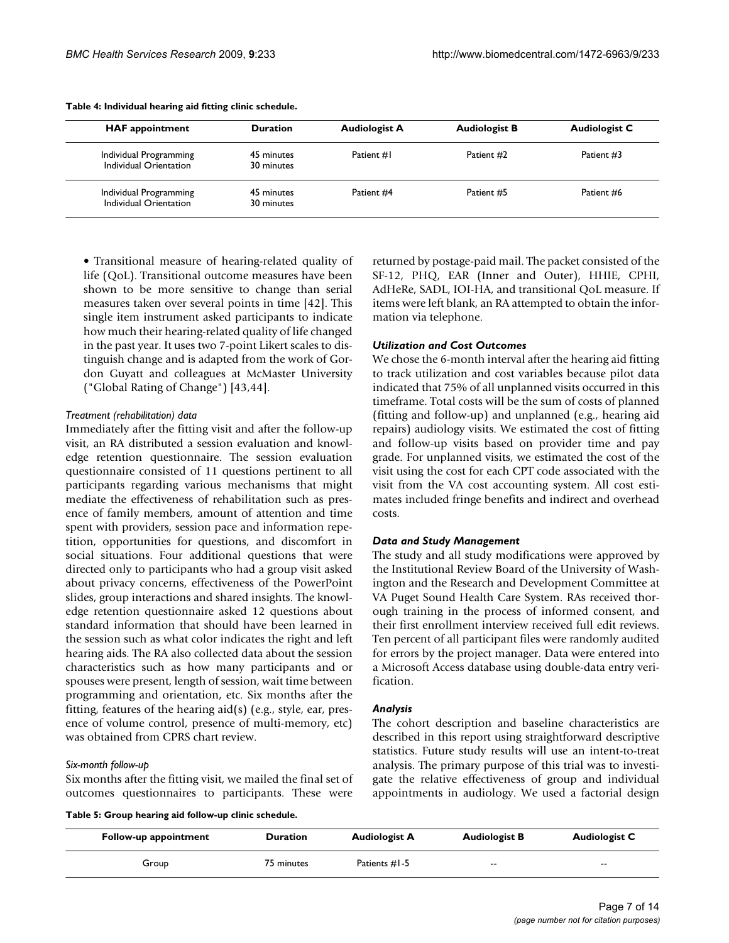| <b>HAF</b> appointment                           | <b>Duration</b>          | <b>Audiologist A</b> | <b>Audiologist B</b> | <b>Audiologist C</b> |
|--------------------------------------------------|--------------------------|----------------------|----------------------|----------------------|
| Individual Programming<br>Individual Orientation | 45 minutes<br>30 minutes | Patient #1           | Patient #2           | Patient #3           |
| Individual Programming<br>Individual Orientation | 45 minutes<br>30 minutes | Patient #4           | Patient #5           | Patient #6           |

**Table 4: Individual hearing aid fitting clinic schedule.**

• Transitional measure of hearing-related quality of life (QoL). Transitional outcome measures have been shown to be more sensitive to change than serial measures taken over several points in time [42]. This single item instrument asked participants to indicate how much their hearing-related quality of life changed in the past year. It uses two 7-point Likert scales to distinguish change and is adapted from the work of Gordon Guyatt and colleagues at McMaster University ("Global Rating of Change") [43,44].

#### *Treatment (rehabilitation) data*

Immediately after the fitting visit and after the follow-up visit, an RA distributed a session evaluation and knowledge retention questionnaire. The session evaluation questionnaire consisted of 11 questions pertinent to all participants regarding various mechanisms that might mediate the effectiveness of rehabilitation such as presence of family members, amount of attention and time spent with providers, session pace and information repetition, opportunities for questions, and discomfort in social situations. Four additional questions that were directed only to participants who had a group visit asked about privacy concerns, effectiveness of the PowerPoint slides, group interactions and shared insights. The knowledge retention questionnaire asked 12 questions about standard information that should have been learned in the session such as what color indicates the right and left hearing aids. The RA also collected data about the session characteristics such as how many participants and or spouses were present, length of session, wait time between programming and orientation, etc. Six months after the fitting, features of the hearing aid(s) (e.g., style, ear, presence of volume control, presence of multi-memory, etc) was obtained from CPRS chart review.

#### *Six-month follow-up*

Six months after the fitting visit, we mailed the final set of outcomes questionnaires to participants. These were

**Table 5: Group hearing aid follow-up clinic schedule.**

returned by postage-paid mail. The packet consisted of the SF-12, PHQ, EAR (Inner and Outer), HHIE, CPHI, AdHeRe, SADL, IOI-HA, and transitional QoL measure. If items were left blank, an RA attempted to obtain the information via telephone.

#### *Utilization and Cost Outcomes*

We chose the 6-month interval after the hearing aid fitting to track utilization and cost variables because pilot data indicated that 75% of all unplanned visits occurred in this timeframe. Total costs will be the sum of costs of planned (fitting and follow-up) and unplanned (e.g., hearing aid repairs) audiology visits. We estimated the cost of fitting and follow-up visits based on provider time and pay grade. For unplanned visits, we estimated the cost of the visit using the cost for each CPT code associated with the visit from the VA cost accounting system. All cost estimates included fringe benefits and indirect and overhead costs.

#### *Data and Study Management*

The study and all study modifications were approved by the Institutional Review Board of the University of Washington and the Research and Development Committee at VA Puget Sound Health Care System. RAs received thorough training in the process of informed consent, and their first enrollment interview received full edit reviews. Ten percent of all participant files were randomly audited for errors by the project manager. Data were entered into a Microsoft Access database using double-data entry verification.

#### *Analysis*

The cohort description and baseline characteristics are described in this report using straightforward descriptive statistics. Future study results will use an intent-to-treat analysis. The primary purpose of this trial was to investigate the relative effectiveness of group and individual appointments in audiology. We used a factorial design

| Follow-up appointment | <b>Duration</b> | <b>Audiologist A</b> | <b>Audiologist B</b>     | <b>Audiologist C</b>     |
|-----------------------|-----------------|----------------------|--------------------------|--------------------------|
| Group                 | 75 minutes      | Patients #1-5        | $\overline{\phantom{a}}$ | $\overline{\phantom{a}}$ |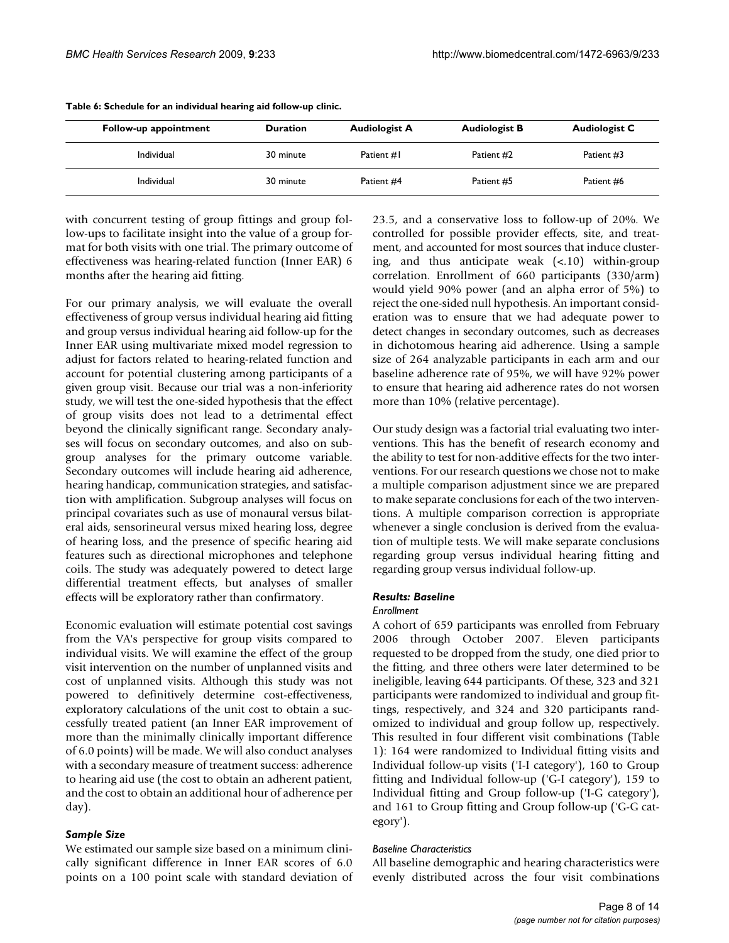| Follow-up appointment | <b>Duration</b> | <b>Audiologist A</b> | <b>Audiologist B</b> | Audiologist C |
|-----------------------|-----------------|----------------------|----------------------|---------------|
| Individual            | 30 minute       | Patient #1           | Patient #2           | Patient #3    |
| Individual            | 30 minute       | Patient #4           | Patient #5           | Patient #6    |

**Table 6: Schedule for an individual hearing aid follow-up clinic.**

with concurrent testing of group fittings and group follow-ups to facilitate insight into the value of a group format for both visits with one trial. The primary outcome of effectiveness was hearing-related function (Inner EAR) 6 months after the hearing aid fitting.

For our primary analysis, we will evaluate the overall effectiveness of group versus individual hearing aid fitting and group versus individual hearing aid follow-up for the Inner EAR using multivariate mixed model regression to adjust for factors related to hearing-related function and account for potential clustering among participants of a given group visit. Because our trial was a non-inferiority study, we will test the one-sided hypothesis that the effect of group visits does not lead to a detrimental effect beyond the clinically significant range. Secondary analyses will focus on secondary outcomes, and also on subgroup analyses for the primary outcome variable. Secondary outcomes will include hearing aid adherence, hearing handicap, communication strategies, and satisfaction with amplification. Subgroup analyses will focus on principal covariates such as use of monaural versus bilateral aids, sensorineural versus mixed hearing loss, degree of hearing loss, and the presence of specific hearing aid features such as directional microphones and telephone coils. The study was adequately powered to detect large differential treatment effects, but analyses of smaller effects will be exploratory rather than confirmatory.

Economic evaluation will estimate potential cost savings from the VA's perspective for group visits compared to individual visits. We will examine the effect of the group visit intervention on the number of unplanned visits and cost of unplanned visits. Although this study was not powered to definitively determine cost-effectiveness, exploratory calculations of the unit cost to obtain a successfully treated patient (an Inner EAR improvement of more than the minimally clinically important difference of 6.0 points) will be made. We will also conduct analyses with a secondary measure of treatment success: adherence to hearing aid use (the cost to obtain an adherent patient, and the cost to obtain an additional hour of adherence per day).

#### *Sample Size*

We estimated our sample size based on a minimum clinically significant difference in Inner EAR scores of 6.0 points on a 100 point scale with standard deviation of 23.5, and a conservative loss to follow-up of 20%. We controlled for possible provider effects, site, and treatment, and accounted for most sources that induce clustering, and thus anticipate weak (<.10) within-group correlation. Enrollment of 660 participants (330/arm) would yield 90% power (and an alpha error of 5%) to reject the one-sided null hypothesis. An important consideration was to ensure that we had adequate power to detect changes in secondary outcomes, such as decreases in dichotomous hearing aid adherence. Using a sample size of 264 analyzable participants in each arm and our baseline adherence rate of 95%, we will have 92% power to ensure that hearing aid adherence rates do not worsen more than 10% (relative percentage).

Our study design was a factorial trial evaluating two interventions. This has the benefit of research economy and the ability to test for non-additive effects for the two interventions. For our research questions we chose not to make a multiple comparison adjustment since we are prepared to make separate conclusions for each of the two interventions. A multiple comparison correction is appropriate whenever a single conclusion is derived from the evaluation of multiple tests. We will make separate conclusions regarding group versus individual hearing fitting and regarding group versus individual follow-up.

#### *Results: Baseline*

#### *Enrollment*

A cohort of 659 participants was enrolled from February 2006 through October 2007. Eleven participants requested to be dropped from the study, one died prior to the fitting, and three others were later determined to be ineligible, leaving 644 participants. Of these, 323 and 321 participants were randomized to individual and group fittings, respectively, and 324 and 320 participants randomized to individual and group follow up, respectively. This resulted in four different visit combinations (Table 1): 164 were randomized to Individual fitting visits and Individual follow-up visits ('I-I category'), 160 to Group fitting and Individual follow-up ('G-I category'), 159 to Individual fitting and Group follow-up ('I-G category'), and 161 to Group fitting and Group follow-up ('G-G category').

#### *Baseline Characteristics*

All baseline demographic and hearing characteristics were evenly distributed across the four visit combinations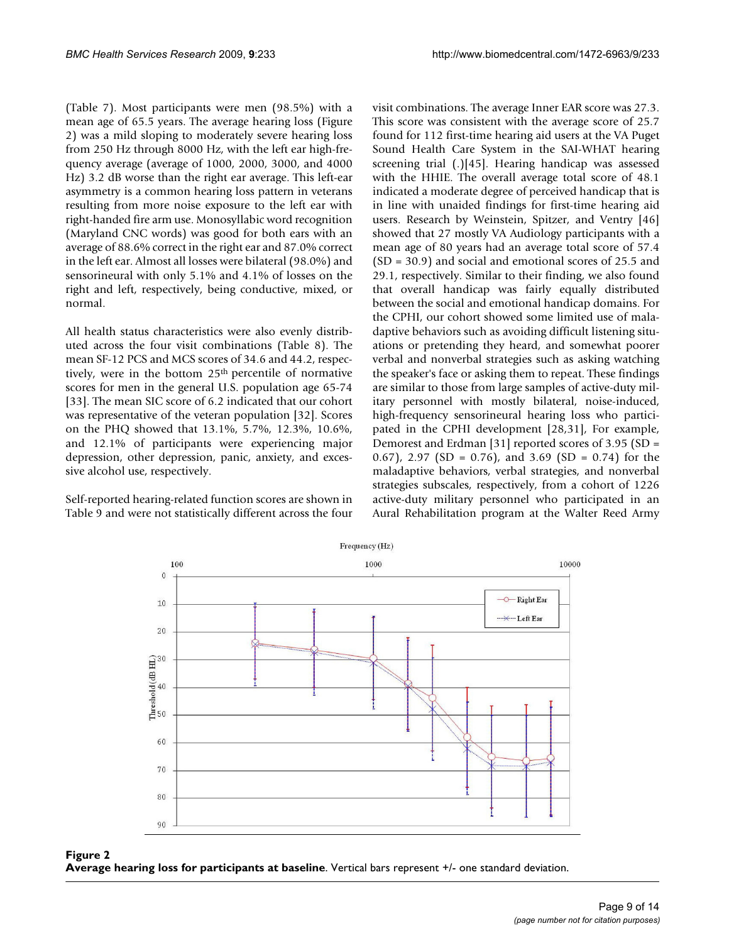(Table 7). Most participants were men (98.5%) with a mean age of 65.5 years. The average hearing loss (Figure 2) was a mild sloping to moderately severe hearing loss from 250 Hz through 8000 Hz, with the left ear high-frequency average (average of 1000, 2000, 3000, and 4000 Hz) 3.2 dB worse than the right ear average. This left-ear asymmetry is a common hearing loss pattern in veterans resulting from more noise exposure to the left ear with right-handed fire arm use. Monosyllabic word recognition (Maryland CNC words) was good for both ears with an average of 88.6% correct in the right ear and 87.0% correct in the left ear. Almost all losses were bilateral (98.0%) and sensorineural with only 5.1% and 4.1% of losses on the right and left, respectively, being conductive, mixed, or normal.

All health status characteristics were also evenly distributed across the four visit combinations (Table 8). The mean SF-12 PCS and MCS scores of 34.6 and 44.2, respectively, were in the bottom 25<sup>th</sup> percentile of normative scores for men in the general U.S. population age 65-74 [33]. The mean SIC score of 6.2 indicated that our cohort was representative of the veteran population [32]. Scores on the PHQ showed that 13.1%, 5.7%, 12.3%, 10.6%, and 12.1% of participants were experiencing major depression, other depression, panic, anxiety, and excessive alcohol use, respectively.

Self-reported hearing-related function scores are shown in Table 9 and were not statistically different across the four

visit combinations. The average Inner EAR score was 27.3. This score was consistent with the average score of 25.7 found for 112 first-time hearing aid users at the VA Puget Sound Health Care System in the SAI-WHAT hearing screening trial (.)[45]. Hearing handicap was assessed with the HHIE. The overall average total score of 48.1 indicated a moderate degree of perceived handicap that is in line with unaided findings for first-time hearing aid users. Research by Weinstein, Spitzer, and Ventry [46] showed that 27 mostly VA Audiology participants with a mean age of 80 years had an average total score of 57.4 (SD = 30.9) and social and emotional scores of 25.5 and 29.1, respectively. Similar to their finding, we also found that overall handicap was fairly equally distributed between the social and emotional handicap domains. For the CPHI, our cohort showed some limited use of maladaptive behaviors such as avoiding difficult listening situations or pretending they heard, and somewhat poorer verbal and nonverbal strategies such as asking watching the speaker's face or asking them to repeat. These findings are similar to those from large samples of active-duty military personnel with mostly bilateral, noise-induced, high-frequency sensorineural hearing loss who participated in the CPHI development [28,31], For example, Demorest and Erdman [31] reported scores of 3.95 (SD = 0.67), 2.97 (SD = 0.76), and 3.69 (SD = 0.74) for the maladaptive behaviors, verbal strategies, and nonverbal strategies subscales, respectively, from a cohort of 1226 active-duty military personnel who participated in an Aural Rehabilitation program at the Walter Reed Army



# Figure 2 **Average hearing loss for participants at baseline**. Vertical bars represent +/- one standard deviation.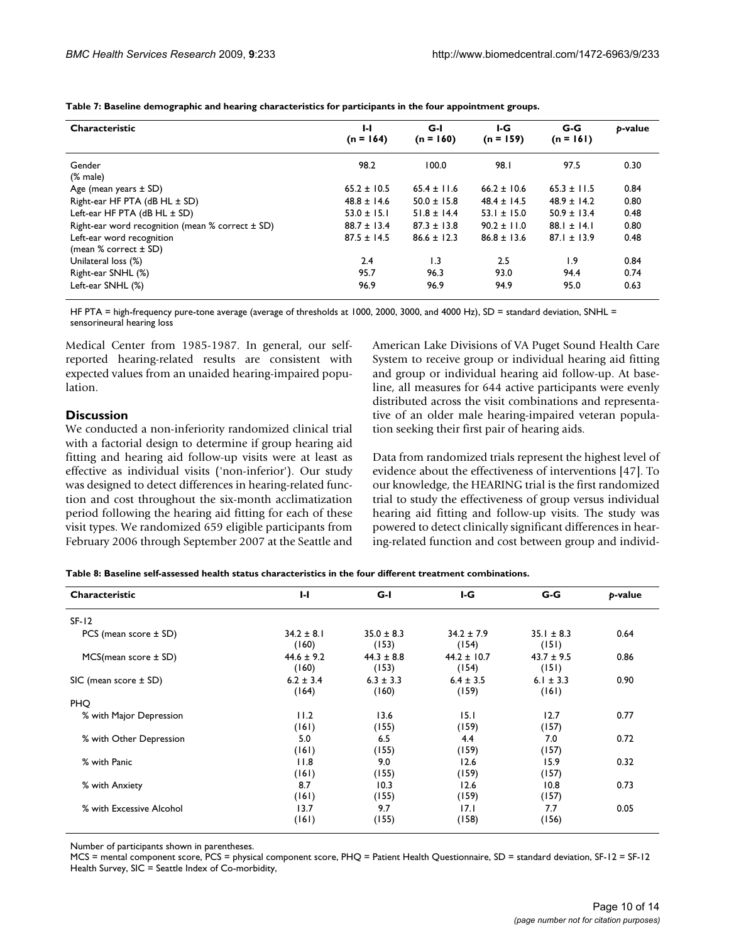| Characteristic                                           | ы<br>$(n = 164)$ | $G-I$<br>$(n = 160)$ | I-G<br>$(n = 159)$ | $G-G$<br>$(n = 161)$ | b-value |
|----------------------------------------------------------|------------------|----------------------|--------------------|----------------------|---------|
| Gender                                                   | 98.2             | 100.0                | 98.I               | 97.5                 | 0.30    |
| $(% \mathcal{L}_{0})$ male)<br>Age (mean years $\pm$ SD) | $65.2 \pm 10.5$  | $65.4 \pm 11.6$      | $66.2 \pm 10.6$    | $65.3 \pm 11.5$      | 0.84    |
| Right-ear HF PTA ( $dB$ HL $\pm$ SD)                     | $48.8 \pm 14.6$  | $50.0 \pm 15.8$      | $48.4 \pm 14.5$    | $48.9 \pm 14.2$      | 0.80    |
| Left-ear HF PTA $(dB H L \pm SD)$                        | $53.0 \pm 15.1$  | $51.8 \pm 14.4$      | $53.1 \pm 15.0$    | $50.9 \pm 13.4$      | 0.48    |
| Right-ear word recognition (mean % correct ± SD)         | $88.7 \pm 13.4$  | $87.3 \pm 13.8$      | $90.2 \pm 11.0$    | $88.1 \pm 14.1$      | 0.80    |
| Left-ear word recognition<br>(mean $%$ correct $\pm$ SD) | $87.5 \pm 14.5$  | $86.6 \pm 12.3$      | $86.8 \pm 13.6$    | $87.1 \pm 13.9$      | 0.48    |
| Unilateral loss (%)                                      | 2.4              | 1.3                  | 2.5                | 1.9                  | 0.84    |
| Right-ear SNHL (%)                                       | 95.7             | 96.3                 | 93.0               | 94.4                 | 0.74    |
| Left-ear SNHL (%)                                        | 96.9             | 96.9                 | 94.9               | 95.0                 | 0.63    |

**Table 7: Baseline demographic and hearing characteristics for participants in the four appointment groups.**

HF PTA = high-frequency pure-tone average (average of thresholds at 1000, 2000, 3000, and 4000 Hz), SD = standard deviation, SNHL = sensorineural hearing loss

Medical Center from 1985-1987. In general, our selfreported hearing-related results are consistent with expected values from an unaided hearing-impaired population.

#### **Discussion**

We conducted a non-inferiority randomized clinical trial with a factorial design to determine if group hearing aid fitting and hearing aid follow-up visits were at least as effective as individual visits ('non-inferior'). Our study was designed to detect differences in hearing-related function and cost throughout the six-month acclimatization period following the hearing aid fitting for each of these visit types. We randomized 659 eligible participants from February 2006 through September 2007 at the Seattle and

American Lake Divisions of VA Puget Sound Health Care System to receive group or individual hearing aid fitting and group or individual hearing aid follow-up. At baseline, all measures for 644 active participants were evenly distributed across the visit combinations and representative of an older male hearing-impaired veteran population seeking their first pair of hearing aids.

Data from randomized trials represent the highest level of evidence about the effectiveness of interventions [47]. To our knowledge, the HEARING trial is the first randomized trial to study the effectiveness of group versus individual hearing aid fitting and follow-up visits. The study was powered to detect clinically significant differences in hearing-related function and cost between group and individ-

**Table 8: Baseline self-assessed health status characteristics in the four different treatment combinations.** 

| <b>Characteristic</b>       | ы                       | $G-I$                   | I-G                      | G-G                     | p-value |
|-----------------------------|-------------------------|-------------------------|--------------------------|-------------------------|---------|
| $SF-12$                     |                         |                         |                          |                         |         |
| PCS (mean score $\pm$ SD)   | $34.2 \pm 8.1$<br>(160) | $35.0 \pm 8.3$<br>(153) | $34.2 \pm 7.9$<br>(154)  | $35.1 \pm 8.3$<br>(151) | 0.64    |
| $MCS$ (mean score $\pm$ SD) | $44.6 \pm 9.2$<br>(160) | $44.3 \pm 8.8$<br>(153) | $44.2 \pm 10.7$<br>(154) | $43.7 \pm 9.5$<br>(151) | 0.86    |
| $SIC$ (mean score $\pm$ SD) | $6.2 \pm 3.4$<br>(164)  | $6.3 \pm 3.3$<br>(160)  | $6.4 \pm 3.5$<br>(159)   | 6.1 $\pm$ 3.3<br>(161)  | 0.90    |
| <b>PHO</b>                  |                         |                         |                          |                         |         |
| % with Major Depression     | 11.2<br>(161)           | 13.6<br>(155)           | 15.1<br>(159)            | 12.7<br>(157)           | 0.77    |
| % with Other Depression     | 5.0<br>(161)            | 6.5<br>(155)            | 4.4<br>(159)             | 7.0<br>(157)            | 0.72    |
| % with Panic                | 11.8<br>(161)           | 9.0<br>(155)            | 12.6<br>(159)            | 15.9<br>(157)           | 0.32    |
| % with Anxiety              | 8.7<br>(161)            | 10.3<br>(155)           | 12.6<br>(159)            | 10.8<br>(157)           | 0.73    |
| % with Excessive Alcohol    | 13.7<br>(161)           | 9.7<br>(155)            | 17.I<br>(158)            | 7.7<br>(156)            | 0.05    |

Number of participants shown in parentheses.

MCS = mental component score, PCS = physical component score, PHQ = Patient Health Questionnaire, SD = standard deviation, SF-12 = SF-12 Health Survey, SIC = Seattle Index of Co-morbidity,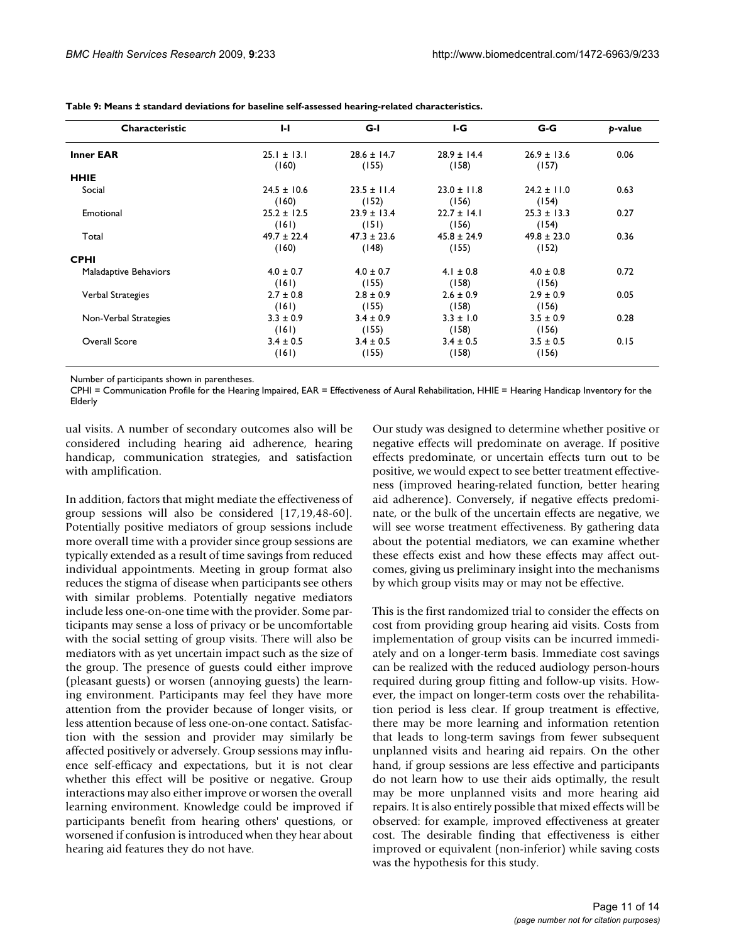| <b>Characteristic</b> | $\mathbf{L}$             | $G-I$                    | I-G                      | $G-G$                    | p-value |
|-----------------------|--------------------------|--------------------------|--------------------------|--------------------------|---------|
| <b>Inner EAR</b>      | $25.1 \pm 13.1$<br>(160) | $28.6 \pm 14.7$<br>(155) | $28.9 \pm 14.4$<br>(158) | $26.9 \pm 13.6$<br>(157) | 0.06    |
| <b>HHIE</b>           |                          |                          |                          |                          |         |
| Social                | $24.5 \pm 10.6$<br>(160) | $23.5 \pm 11.4$<br>(152) | $23.0 \pm 11.8$<br>(156) | $24.2 \pm 11.0$<br>(154) | 0.63    |
| Emotional             | $25.2 \pm 12.5$<br>(161) | $23.9 \pm 13.4$<br>(151) | $22.7 \pm 14.1$<br>(156) | $25.3 \pm 13.3$<br>(154) | 0.27    |
| Total                 | $49.7 \pm 22.4$<br>(160) | $47.3 \pm 23.6$<br>(148) | $45.8 \pm 24.9$<br>(155) | $49.8 \pm 23.0$<br>(152) | 0.36    |
| <b>CPHI</b>           |                          |                          |                          |                          |         |
| Maladaptive Behaviors | $4.0 \pm 0.7$<br>(161)   | $4.0 \pm 0.7$<br>(155)   | $4.1 \pm 0.8$<br>(158)   | $4.0 \pm 0.8$<br>(156)   | 0.72    |
| Verbal Strategies     | $2.7 \pm 0.8$<br>(161)   | $2.8 \pm 0.9$<br>(155)   | $2.6 \pm 0.9$<br>(158)   | $2.9 \pm 0.9$<br>(156)   | 0.05    |
| Non-Verbal Strategies | $3.3 \pm 0.9$<br>(161)   | $3.4 \pm 0.9$<br>(155)   | $3.3 \pm 1.0$<br>(158)   | $3.5 \pm 0.9$<br>(156)   | 0.28    |
| Overall Score         | $3.4 \pm 0.5$<br>(161)   | $3.4 \pm 0.5$<br>(155)   | $3.4 \pm 0.5$<br>(158)   | $3.5 \pm 0.5$<br>(156)   | 0.15    |

**Table 9: Means ± standard deviations for baseline self-assessed hearing-related characteristics.** 

Number of participants shown in parentheses.

CPHI = Communication Profile for the Hearing Impaired, EAR = Effectiveness of Aural Rehabilitation, HHIE = Hearing Handicap Inventory for the Elderly

ual visits. A number of secondary outcomes also will be considered including hearing aid adherence, hearing handicap, communication strategies, and satisfaction with amplification.

In addition, factors that might mediate the effectiveness of group sessions will also be considered [17,19,48-60]. Potentially positive mediators of group sessions include more overall time with a provider since group sessions are typically extended as a result of time savings from reduced individual appointments. Meeting in group format also reduces the stigma of disease when participants see others with similar problems. Potentially negative mediators include less one-on-one time with the provider. Some participants may sense a loss of privacy or be uncomfortable with the social setting of group visits. There will also be mediators with as yet uncertain impact such as the size of the group. The presence of guests could either improve (pleasant guests) or worsen (annoying guests) the learning environment. Participants may feel they have more attention from the provider because of longer visits, or less attention because of less one-on-one contact. Satisfaction with the session and provider may similarly be affected positively or adversely. Group sessions may influence self-efficacy and expectations, but it is not clear whether this effect will be positive or negative. Group interactions may also either improve or worsen the overall learning environment. Knowledge could be improved if participants benefit from hearing others' questions, or worsened if confusion is introduced when they hear about hearing aid features they do not have.

Our study was designed to determine whether positive or negative effects will predominate on average. If positive effects predominate, or uncertain effects turn out to be positive, we would expect to see better treatment effectiveness (improved hearing-related function, better hearing aid adherence). Conversely, if negative effects predominate, or the bulk of the uncertain effects are negative, we will see worse treatment effectiveness. By gathering data about the potential mediators, we can examine whether these effects exist and how these effects may affect outcomes, giving us preliminary insight into the mechanisms by which group visits may or may not be effective.

This is the first randomized trial to consider the effects on cost from providing group hearing aid visits. Costs from implementation of group visits can be incurred immediately and on a longer-term basis. Immediate cost savings can be realized with the reduced audiology person-hours required during group fitting and follow-up visits. However, the impact on longer-term costs over the rehabilitation period is less clear. If group treatment is effective, there may be more learning and information retention that leads to long-term savings from fewer subsequent unplanned visits and hearing aid repairs. On the other hand, if group sessions are less effective and participants do not learn how to use their aids optimally, the result may be more unplanned visits and more hearing aid repairs. It is also entirely possible that mixed effects will be observed: for example, improved effectiveness at greater cost. The desirable finding that effectiveness is either improved or equivalent (non-inferior) while saving costs was the hypothesis for this study.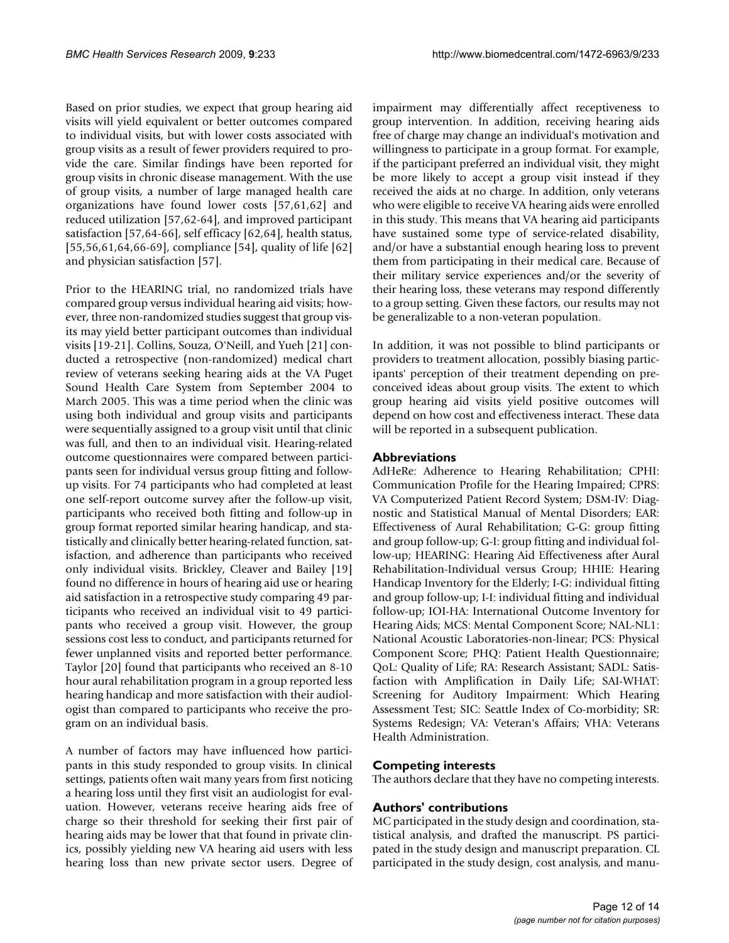Based on prior studies, we expect that group hearing aid visits will yield equivalent or better outcomes compared to individual visits, but with lower costs associated with group visits as a result of fewer providers required to provide the care. Similar findings have been reported for group visits in chronic disease management. With the use of group visits, a number of large managed health care organizations have found lower costs [57,61,62] and reduced utilization [57,62-64], and improved participant satisfaction [57,64-66], self efficacy [62,64], health status, [55,56,61,64,66-69], compliance [54], quality of life [62] and physician satisfaction [57].

Prior to the HEARING trial, no randomized trials have compared group versus individual hearing aid visits; however, three non-randomized studies suggest that group visits may yield better participant outcomes than individual visits [19-21]. Collins, Souza, O'Neill, and Yueh [21] conducted a retrospective (non-randomized) medical chart review of veterans seeking hearing aids at the VA Puget Sound Health Care System from September 2004 to March 2005. This was a time period when the clinic was using both individual and group visits and participants were sequentially assigned to a group visit until that clinic was full, and then to an individual visit. Hearing-related outcome questionnaires were compared between participants seen for individual versus group fitting and followup visits. For 74 participants who had completed at least one self-report outcome survey after the follow-up visit, participants who received both fitting and follow-up in group format reported similar hearing handicap, and statistically and clinically better hearing-related function, satisfaction, and adherence than participants who received only individual visits. Brickley, Cleaver and Bailey [19] found no difference in hours of hearing aid use or hearing aid satisfaction in a retrospective study comparing 49 participants who received an individual visit to 49 participants who received a group visit. However, the group sessions cost less to conduct, and participants returned for fewer unplanned visits and reported better performance. Taylor [20] found that participants who received an 8-10 hour aural rehabilitation program in a group reported less hearing handicap and more satisfaction with their audiologist than compared to participants who receive the program on an individual basis.

A number of factors may have influenced how participants in this study responded to group visits. In clinical settings, patients often wait many years from first noticing a hearing loss until they first visit an audiologist for evaluation. However, veterans receive hearing aids free of charge so their threshold for seeking their first pair of hearing aids may be lower that that found in private clinics, possibly yielding new VA hearing aid users with less hearing loss than new private sector users. Degree of impairment may differentially affect receptiveness to group intervention. In addition, receiving hearing aids free of charge may change an individual's motivation and willingness to participate in a group format. For example, if the participant preferred an individual visit, they might be more likely to accept a group visit instead if they received the aids at no charge. In addition, only veterans who were eligible to receive VA hearing aids were enrolled in this study. This means that VA hearing aid participants have sustained some type of service-related disability, and/or have a substantial enough hearing loss to prevent them from participating in their medical care. Because of their military service experiences and/or the severity of their hearing loss, these veterans may respond differently to a group setting. Given these factors, our results may not be generalizable to a non-veteran population.

In addition, it was not possible to blind participants or providers to treatment allocation, possibly biasing participants' perception of their treatment depending on preconceived ideas about group visits. The extent to which group hearing aid visits yield positive outcomes will depend on how cost and effectiveness interact. These data will be reported in a subsequent publication.

# **Abbreviations**

AdHeRe: Adherence to Hearing Rehabilitation; CPHI: Communication Profile for the Hearing Impaired; CPRS: VA Computerized Patient Record System; DSM-IV: Diagnostic and Statistical Manual of Mental Disorders; EAR: Effectiveness of Aural Rehabilitation; G-G: group fitting and group follow-up; G-I: group fitting and individual follow-up; HEARING: Hearing Aid Effectiveness after Aural Rehabilitation-Individual versus Group; HHIE: Hearing Handicap Inventory for the Elderly; I-G: individual fitting and group follow-up; I-I: individual fitting and individual follow-up; IOI-HA: International Outcome Inventory for Hearing Aids; MCS: Mental Component Score; NAL-NL1: National Acoustic Laboratories-non-linear; PCS: Physical Component Score; PHQ: Patient Health Questionnaire; QoL: Quality of Life; RA: Research Assistant; SADL: Satisfaction with Amplification in Daily Life; SAI-WHAT: Screening for Auditory Impairment: Which Hearing Assessment Test; SIC: Seattle Index of Co-morbidity; SR: Systems Redesign; VA: Veteran's Affairs; VHA: Veterans Health Administration.

# **Competing interests**

The authors declare that they have no competing interests.

# **Authors' contributions**

MC participated in the study design and coordination, statistical analysis, and drafted the manuscript. PS participated in the study design and manuscript preparation. CL participated in the study design, cost analysis, and manu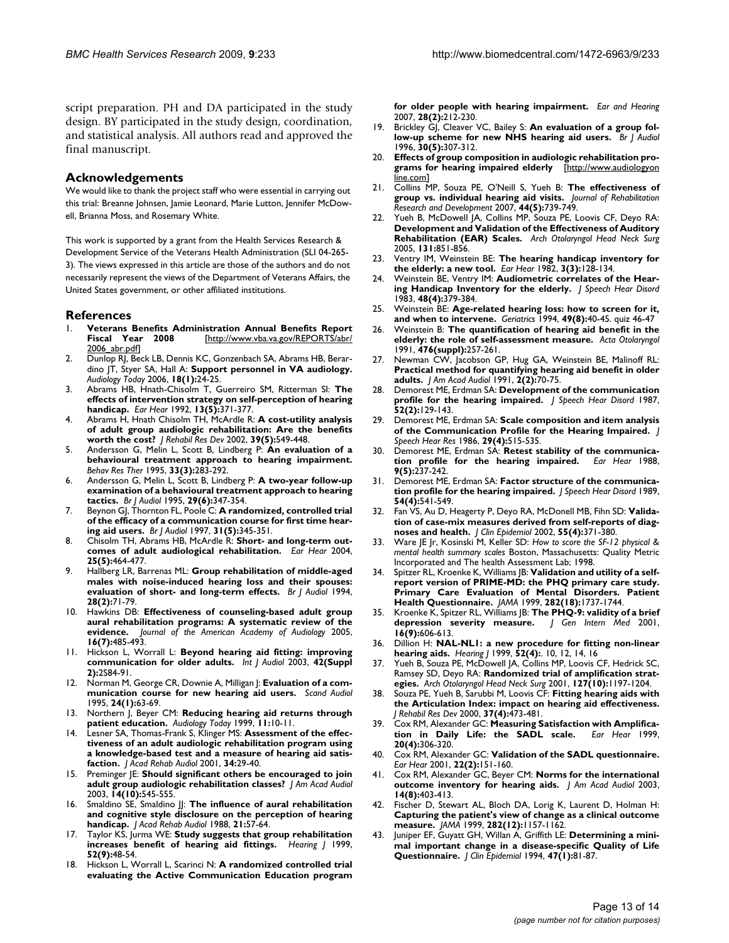script preparation. PH and DA participated in the study design. BY participated in the study design, coordination, and statistical analysis. All authors read and approved the final manuscript.

#### **Acknowledgements**

We would like to thank the project staff who were essential in carrying out this trial: Breanne Johnsen, Jamie Leonard, Marie Lutton, Jennifer McDowell, Brianna Moss, and Rosemary White.

This work is supported by a grant from the Health Services Research & Development Service of the Veterans Health Administration (SLI 04-265- 3). The views expressed in this article are those of the authors and do not necessarily represent the views of the Department of Veterans Affairs, the United States government, or other affiliated institutions.

#### **References**

- 1. **Veterans Benefits Administration Annual Benefits Report Fiscal Year 2008** [[http://www.vba.va.gov/REPORTS/abr/](http://www.vba.va.gov/REPORTS/abr/2006_abr.pdf) [2006\\_abr.pdf](http://www.vba.va.gov/REPORTS/abr/2006_abr.pdf)]
- 2. Dunlop RJ, Beck LB, Dennis KC, Gonzenbach SA, Abrams HB, Berardino JT, Styer SA, Hall A: **Support personnel in VA audiology.** *Audiology Today* 2006, **18(1):**24-25.
- 3. Abrams HB, Hnath-Chisolm T, Guerreiro SM, Ritterman SI: **[The](http://www.ncbi.nlm.nih.gov/entrez/query.fcgi?cmd=Retrieve&db=PubMed&dopt=Abstract&list_uids=1487096) [effects of intervention strategy on self-perception of hearing](http://www.ncbi.nlm.nih.gov/entrez/query.fcgi?cmd=Retrieve&db=PubMed&dopt=Abstract&list_uids=1487096) [handicap.](http://www.ncbi.nlm.nih.gov/entrez/query.fcgi?cmd=Retrieve&db=PubMed&dopt=Abstract&list_uids=1487096)** *Ear Hear* 1992, **13(5):**371-377.
- 4. Abrams H, Hnath Chisolm TH, McArdle R: **[A cost-utility analysis](http://www.ncbi.nlm.nih.gov/entrez/query.fcgi?cmd=Retrieve&db=PubMed&dopt=Abstract&list_uids=17684833) [of adult group audiologic rehabilitation: Are the benefits](http://www.ncbi.nlm.nih.gov/entrez/query.fcgi?cmd=Retrieve&db=PubMed&dopt=Abstract&list_uids=17684833) [worth the cost?](http://www.ncbi.nlm.nih.gov/entrez/query.fcgi?cmd=Retrieve&db=PubMed&dopt=Abstract&list_uids=17684833)** *J Rehabil Res Dev* 2002, **39(5):**549-448.
- 5. Andersson G, Melin L, Scott B, Lindberg P: **[An evaluation of a](http://www.ncbi.nlm.nih.gov/entrez/query.fcgi?cmd=Retrieve&db=PubMed&dopt=Abstract&list_uids=7726804) [behavioural treatment approach to hearing impairment.](http://www.ncbi.nlm.nih.gov/entrez/query.fcgi?cmd=Retrieve&db=PubMed&dopt=Abstract&list_uids=7726804)** *Behav Res Ther* 1995, **33(3):**283-292.
- 6. Andersson G, Melin L, Scott B, Lindberg P: **[A two-year follow-up](http://www.ncbi.nlm.nih.gov/entrez/query.fcgi?cmd=Retrieve&db=PubMed&dopt=Abstract&list_uids=8861410) [examination of a behavioural treatment approach to hearing](http://www.ncbi.nlm.nih.gov/entrez/query.fcgi?cmd=Retrieve&db=PubMed&dopt=Abstract&list_uids=8861410) [tactics.](http://www.ncbi.nlm.nih.gov/entrez/query.fcgi?cmd=Retrieve&db=PubMed&dopt=Abstract&list_uids=8861410)** *Br J Audiol* 1995, **29(6):**347-354.
- 7. Beynon GJ, Thornton FL, Poole C: **[A randomized, controlled trial](http://www.ncbi.nlm.nih.gov/entrez/query.fcgi?cmd=Retrieve&db=PubMed&dopt=Abstract&list_uids=9373743) [of the efficacy of a communication course for first time hear](http://www.ncbi.nlm.nih.gov/entrez/query.fcgi?cmd=Retrieve&db=PubMed&dopt=Abstract&list_uids=9373743)[ing aid users.](http://www.ncbi.nlm.nih.gov/entrez/query.fcgi?cmd=Retrieve&db=PubMed&dopt=Abstract&list_uids=9373743)** *Br J Audiol* 1997, **31(5):**345-351.
- 8. Chisolm TH, Abrams HB, McArdle R: **[Short- and long-term out](http://www.ncbi.nlm.nih.gov/entrez/query.fcgi?cmd=Retrieve&db=PubMed&dopt=Abstract&list_uids=15599193)[comes of adult audiological rehabilitation.](http://www.ncbi.nlm.nih.gov/entrez/query.fcgi?cmd=Retrieve&db=PubMed&dopt=Abstract&list_uids=15599193)** *Ear Hear* 2004, **25(5):**464-477.
- 9. Hallberg LR, Barrenas ML: **[Group rehabilitation of middle-aged](http://www.ncbi.nlm.nih.gov/entrez/query.fcgi?cmd=Retrieve&db=PubMed&dopt=Abstract&list_uids=7841891) [males with noise-induced hearing loss and their spouses:](http://www.ncbi.nlm.nih.gov/entrez/query.fcgi?cmd=Retrieve&db=PubMed&dopt=Abstract&list_uids=7841891) [evaluation of short- and long-term effects.](http://www.ncbi.nlm.nih.gov/entrez/query.fcgi?cmd=Retrieve&db=PubMed&dopt=Abstract&list_uids=7841891)** *Br J Audiol* 1994, **28(2):**71-79.
- 10. Hawkins DB: **[Effectiveness of counseling-based adult group](http://www.ncbi.nlm.nih.gov/entrez/query.fcgi?cmd=Retrieve&db=PubMed&dopt=Abstract&list_uids=16295235) [aural rehabilitation programs: A systematic review of the](http://www.ncbi.nlm.nih.gov/entrez/query.fcgi?cmd=Retrieve&db=PubMed&dopt=Abstract&list_uids=16295235) [evidence.](http://www.ncbi.nlm.nih.gov/entrez/query.fcgi?cmd=Retrieve&db=PubMed&dopt=Abstract&list_uids=16295235)** *Journal of the American Academy of Audiology* 2005, **16(7):**485-493.
- 11. Hickson L, Worrall L: **[Beyond hearing aid fitting: improving](http://www.ncbi.nlm.nih.gov/entrez/query.fcgi?cmd=Retrieve&db=PubMed&dopt=Abstract&list_uids=12918634) [communication for older adults.](http://www.ncbi.nlm.nih.gov/entrez/query.fcgi?cmd=Retrieve&db=PubMed&dopt=Abstract&list_uids=12918634)** *Int J Audiol* 2003, **42(Suppl 2):**2S84-91.
- 12. Norman M, George CR, Downie A, Milligan J: **[Evaluation of a com](http://www.ncbi.nlm.nih.gov/entrez/query.fcgi?cmd=Retrieve&db=PubMed&dopt=Abstract&list_uids=7761802)[munication course for new hearing aid users.](http://www.ncbi.nlm.nih.gov/entrez/query.fcgi?cmd=Retrieve&db=PubMed&dopt=Abstract&list_uids=7761802)** *Scand Audiol* 1995, **24(1):**63-69.
- 13. Northern J, Beyer CM: **Reducing hearing aid returns through patient education.** *Audiology Today* 1999, **11:**10-11.
- 14. Lesner SA, Thomas-Frank S, Klinger MS: **Assessment of the effectiveness of an adult audiologic rehabilitation program using a knowledge-based test and a measure of hearing aid satisfaction.** *J Acad Rehab Audiol* 2001, **34:**29-40.
- 15. Preminger JE: **[Should significant others be encouraged to join](http://www.ncbi.nlm.nih.gov/entrez/query.fcgi?cmd=Retrieve&db=PubMed&dopt=Abstract&list_uids=14748551) [adult group audiologic rehabilitation classes?](http://www.ncbi.nlm.nih.gov/entrez/query.fcgi?cmd=Retrieve&db=PubMed&dopt=Abstract&list_uids=14748551)** *J Am Acad Audiol* 2003, **14(10):**545-555.
- 16. Smaldino SE, Smaldino JJ: **The influence of aural rehabilitation and cognitive style disclosure on the perception of hearing handicap.** *J Acad Rehab Audiol* 1988, **21:**57-64.
- 17. Taylor KS, Jurma WE: **Study suggests that group rehabilitation increases benefit of hearing aid fittings.** *Hearing J* 1999, **52(9):**48-54.
- 18. Hickson L, Worrall L, Scarinci N: **[A randomized controlled trial](http://www.ncbi.nlm.nih.gov/entrez/query.fcgi?cmd=Retrieve&db=PubMed&dopt=Abstract&list_uids=17496672) [evaluating the Active Communication Education program](http://www.ncbi.nlm.nih.gov/entrez/query.fcgi?cmd=Retrieve&db=PubMed&dopt=Abstract&list_uids=17496672)**

**[for older people with hearing impairment.](http://www.ncbi.nlm.nih.gov/entrez/query.fcgi?cmd=Retrieve&db=PubMed&dopt=Abstract&list_uids=17496672)** *Ear and Hearing* 2007, **28(2):**212-230.

- 19. Brickley GJ, Cleaver VC, Bailey S: [An evaluation of a group fol](http://www.ncbi.nlm.nih.gov/entrez/query.fcgi?cmd=Retrieve&db=PubMed&dopt=Abstract&list_uids=8922695)**[low-up scheme for new NHS hearing aid users.](http://www.ncbi.nlm.nih.gov/entrez/query.fcgi?cmd=Retrieve&db=PubMed&dopt=Abstract&list_uids=8922695)** *Br J Audiol* 1996, **30(5):**307-312.
- 20. **Effects of group composition in audiologic rehabilitation programs for hearing impaired elderly** [\[http://www.audiologyon](http://www.audiologyonline.com) [line.com](http://www.audiologyonline.com)]
- 21. Collins MP, Souza PE, O'Neill S, Yueh B: **[The effectiveness of](http://www.ncbi.nlm.nih.gov/entrez/query.fcgi?cmd=Retrieve&db=PubMed&dopt=Abstract&list_uids=17943685) [group vs. individual hearing aid visits.](http://www.ncbi.nlm.nih.gov/entrez/query.fcgi?cmd=Retrieve&db=PubMed&dopt=Abstract&list_uids=17943685)** *Journal of Rehabilitation Research and Development* 2007, **44(5):**739-749.
- 22. Yueh B, McDowell JA, Collins MP, Souza PE, Loovis CF, Deyo RA: **[Development and Validation of the Effectiveness of Auditory](http://www.ncbi.nlm.nih.gov/entrez/query.fcgi?cmd=Retrieve&db=PubMed&dopt=Abstract&list_uids=16230585) [Rehabilitation \(EAR\) Scales.](http://www.ncbi.nlm.nih.gov/entrez/query.fcgi?cmd=Retrieve&db=PubMed&dopt=Abstract&list_uids=16230585)** *Arch Otolaryngol Head Neck Surg* 2005, **131:**851-856.
- 23. Ventry IM, Weinstein BE: **[The hearing handicap inventory for](http://www.ncbi.nlm.nih.gov/entrez/query.fcgi?cmd=Retrieve&db=PubMed&dopt=Abstract&list_uids=7095321) [the elderly: a new tool.](http://www.ncbi.nlm.nih.gov/entrez/query.fcgi?cmd=Retrieve&db=PubMed&dopt=Abstract&list_uids=7095321)** *Ear Hear* 1982, **3(3):**128-134.
- 24. Weinstein BE, Ventry IM: **[Audiometric correlates of the Hear](http://www.ncbi.nlm.nih.gov/entrez/query.fcgi?cmd=Retrieve&db=PubMed&dopt=Abstract&list_uids=6645432)[ing Handicap Inventory for the elderly.](http://www.ncbi.nlm.nih.gov/entrez/query.fcgi?cmd=Retrieve&db=PubMed&dopt=Abstract&list_uids=6645432)** *J Speech Hear Disord* 1983, **48(4):**379-384.
- 25. Weinstein BE: **[Age-related hearing loss: how to screen for it,](http://www.ncbi.nlm.nih.gov/entrez/query.fcgi?cmd=Retrieve&db=PubMed&dopt=Abstract&list_uids=8039728) [and when to intervene.](http://www.ncbi.nlm.nih.gov/entrez/query.fcgi?cmd=Retrieve&db=PubMed&dopt=Abstract&list_uids=8039728)** *Geriatrics* 1994, **49(8):**40-45. quiz 46-47
- 26. Weinstein B: **The quantification of hearing aid benefit in the elderly: the role of self-assessment measure.** *Acta Otolaryngol* 1991, **476(suppl):**257-261.
- 27. Newman CW, Jacobson GP, Hug GA, Weinstein BE, Malinoff RL: **[Practical method for quantifying hearing aid benefit in older](http://www.ncbi.nlm.nih.gov/entrez/query.fcgi?cmd=Retrieve&db=PubMed&dopt=Abstract&list_uids=1768876) [adults.](http://www.ncbi.nlm.nih.gov/entrez/query.fcgi?cmd=Retrieve&db=PubMed&dopt=Abstract&list_uids=1768876)** *J Am Acad Audiol* 1991, **2(2):**70-75.
- 28. Demorest ME, Erdman SA: **[Development of the communication](http://www.ncbi.nlm.nih.gov/entrez/query.fcgi?cmd=Retrieve&db=PubMed&dopt=Abstract&list_uids=3573744) [profile for the hearing impaired.](http://www.ncbi.nlm.nih.gov/entrez/query.fcgi?cmd=Retrieve&db=PubMed&dopt=Abstract&list_uids=3573744)** *J Speech Hear Disord* 1987, **52(2):**129-143.
- 29. Demorest ME, Erdman SA: **[Scale composition and item analysis](http://www.ncbi.nlm.nih.gov/entrez/query.fcgi?cmd=Retrieve&db=PubMed&dopt=Abstract&list_uids=3795894) [of the Communication Profile for the Hearing Impaired.](http://www.ncbi.nlm.nih.gov/entrez/query.fcgi?cmd=Retrieve&db=PubMed&dopt=Abstract&list_uids=3795894)** *J Speech Hear Res* 1986, **29(4):**515-535.
- 30. Demorest ME, Erdman SA: **[Retest stability of the communica](http://www.ncbi.nlm.nih.gov/entrez/query.fcgi?cmd=Retrieve&db=PubMed&dopt=Abstract&list_uids=3224770)[tion profile for the hearing impaired.](http://www.ncbi.nlm.nih.gov/entrez/query.fcgi?cmd=Retrieve&db=PubMed&dopt=Abstract&list_uids=3224770)** *Ear Hear* 1988, **9(5):**237-242.
- 31. Demorest ME, Erdman SA: **[Factor structure of the communica](http://www.ncbi.nlm.nih.gov/entrez/query.fcgi?cmd=Retrieve&db=PubMed&dopt=Abstract&list_uids=2811335)[tion profile for the hearing impaired.](http://www.ncbi.nlm.nih.gov/entrez/query.fcgi?cmd=Retrieve&db=PubMed&dopt=Abstract&list_uids=2811335)** *J Speech Hear Disord* 1989, **54(4):**541-549.
- 32. Fan VS, Au D, Heagerty P, Deyo RA, McDonell MB, Fihn SD: **[Valida](http://www.ncbi.nlm.nih.gov/entrez/query.fcgi?cmd=Retrieve&db=PubMed&dopt=Abstract&list_uids=11927205)[tion of case-mix measures derived from self-reports of diag](http://www.ncbi.nlm.nih.gov/entrez/query.fcgi?cmd=Retrieve&db=PubMed&dopt=Abstract&list_uids=11927205)[noses and health.](http://www.ncbi.nlm.nih.gov/entrez/query.fcgi?cmd=Retrieve&db=PubMed&dopt=Abstract&list_uids=11927205)** *J Clin Epidemiol* 2002, **55(4):**371-380.
- 33. Ware JE Jr, Kosinski M, Keller SD: *How to score the SF-12 physical & mental health summary scales* Boston, Massachusetts: Quality Metric Incorporated and The health Assessment Lab; 1998.
- 34. Spitzer RL, Kroenke K, Williams JB: **[Validation and utility of a self](http://www.ncbi.nlm.nih.gov/entrez/query.fcgi?cmd=Retrieve&db=PubMed&dopt=Abstract&list_uids=10568646)[report version of PRIME-MD: the PHQ primary care study.](http://www.ncbi.nlm.nih.gov/entrez/query.fcgi?cmd=Retrieve&db=PubMed&dopt=Abstract&list_uids=10568646) Primary Care Evaluation of Mental Disorders. Patient [Health Questionnaire.](http://www.ncbi.nlm.nih.gov/entrez/query.fcgi?cmd=Retrieve&db=PubMed&dopt=Abstract&list_uids=10568646)** *JAMA* 1999, **282(18):**1737-1744.
- 35. Kroenke K, Spitzer RL, Williams JB: **[The PHQ-9: validity of a brief](http://www.ncbi.nlm.nih.gov/entrez/query.fcgi?cmd=Retrieve&db=PubMed&dopt=Abstract&list_uids=11556941) [depression severity measure.](http://www.ncbi.nlm.nih.gov/entrez/query.fcgi?cmd=Retrieve&db=PubMed&dopt=Abstract&list_uids=11556941)** *J Gen Intern Med* 2001, **16(9):**606-613.
- 36. Dillion H: **NAL-NL1: a new procedure for fitting non-linear hearing aids.** *Hearing J* 1999, **52(4):**. 10, 12, 14, 16
- 37. Yueh B, Souza PE, McDowell JA, Collins MP, Loovis CF, Hedrick SC, Ramsey SD, Deyo RA: **[Randomized trial of amplification strat](http://www.ncbi.nlm.nih.gov/entrez/query.fcgi?cmd=Retrieve&db=PubMed&dopt=Abstract&list_uids=11587599)[egies.](http://www.ncbi.nlm.nih.gov/entrez/query.fcgi?cmd=Retrieve&db=PubMed&dopt=Abstract&list_uids=11587599)** *Arch Otolaryngol Head Neck Surg* 2001, **127(10):**1197-1204.
- 38. Souza PE, Yueh B, Sarubbi M, Loovis CF: **[Fitting hearing aids with](http://www.ncbi.nlm.nih.gov/entrez/query.fcgi?cmd=Retrieve&db=PubMed&dopt=Abstract&list_uids=11028703) [the Articulation Index: impact on hearing aid effectiveness.](http://www.ncbi.nlm.nih.gov/entrez/query.fcgi?cmd=Retrieve&db=PubMed&dopt=Abstract&list_uids=11028703)** *J Rehabil Res Dev* 2000, **37(4):**473-481.
- 39. Cox RM, Alexander GC: **[Measuring Satisfaction with Amplifica](http://www.ncbi.nlm.nih.gov/entrez/query.fcgi?cmd=Retrieve&db=PubMed&dopt=Abstract&list_uids=10466567)**[tion in Daily Life: the SADL scale.](http://www.ncbi.nlm.nih.gov/entrez/query.fcgi?cmd=Retrieve&db=PubMed&dopt=Abstract&list_uids=10466567) **20(4):**306-320.
- 40. Cox RM, Alexander GC: **[Validation of the SADL questionnaire.](http://www.ncbi.nlm.nih.gov/entrez/query.fcgi?cmd=Retrieve&db=PubMed&dopt=Abstract&list_uids=11324844)** *Ear Hear* 2001, **22(2):**151-160.
- 41. Cox RM, Alexander GC, Beyer CM: **[Norms for the international](http://www.ncbi.nlm.nih.gov/entrez/query.fcgi?cmd=Retrieve&db=PubMed&dopt=Abstract&list_uids=14655953) [outcome inventory for hearing aids.](http://www.ncbi.nlm.nih.gov/entrez/query.fcgi?cmd=Retrieve&db=PubMed&dopt=Abstract&list_uids=14655953)** *J Am Acad Audiol* 2003, **14(8):**403-413.
- 42. Fischer D, Stewart AL, Bloch DA, Lorig K, Laurent D, Holman H: **[Capturing the patient's view of change as a clinical outcome](http://www.ncbi.nlm.nih.gov/entrez/query.fcgi?cmd=Retrieve&db=PubMed&dopt=Abstract&list_uids=10501119) [measure.](http://www.ncbi.nlm.nih.gov/entrez/query.fcgi?cmd=Retrieve&db=PubMed&dopt=Abstract&list_uids=10501119)** *JAMA* 1999, **282(12):**1157-1162.
- Juniper EF, Guyatt GH, Willan A, Griffith LE: [Determining a mini](http://www.ncbi.nlm.nih.gov/entrez/query.fcgi?cmd=Retrieve&db=PubMed&dopt=Abstract&list_uids=8283197)**[mal important change in a disease-specific Quality of Life](http://www.ncbi.nlm.nih.gov/entrez/query.fcgi?cmd=Retrieve&db=PubMed&dopt=Abstract&list_uids=8283197) [Questionnaire.](http://www.ncbi.nlm.nih.gov/entrez/query.fcgi?cmd=Retrieve&db=PubMed&dopt=Abstract&list_uids=8283197)** *J Clin Epidemiol* 1994, **47(1):**81-87.